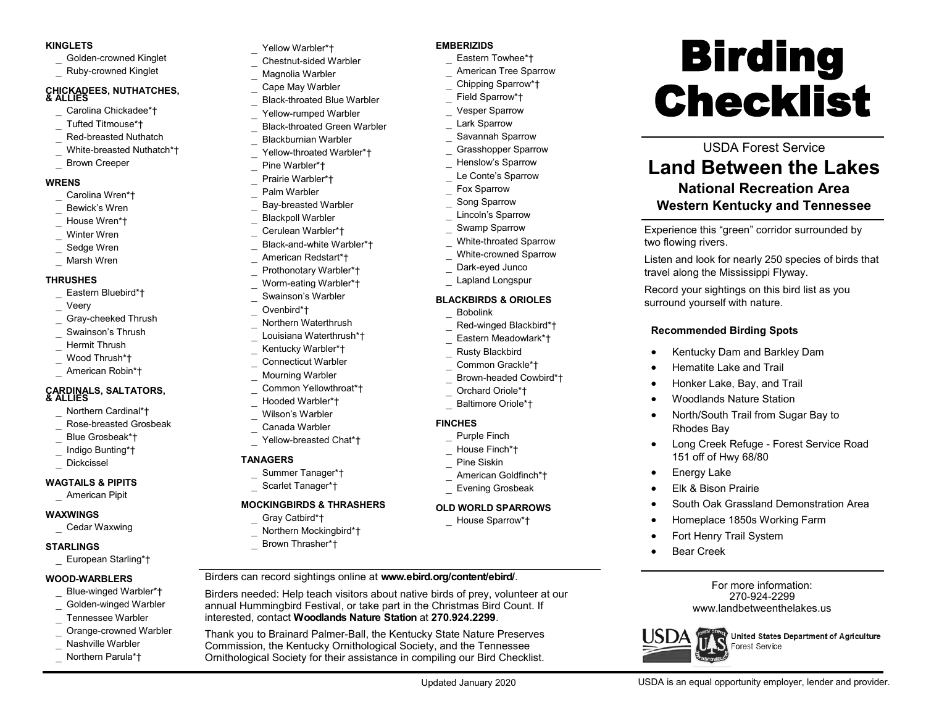#### **KINGLETS**

- Golden-crowned Kinglet
- Ruby-crowned Kinglet

#### **CHICKADEES, NUTHATCHES, & ALLIES**

- Carolina Chickadee\*†
- Tufted Titmouse\*†
- Red-breasted Nuthatch
- White-breasted Nuthatch\*†
- Brown Creeper

#### **WRENS**

- Carolina Wren\*†
- Bewick's Wren
- House Wren\*†
- Winter Wren
- Sedge Wren
- Marsh Wren

#### **THRUSHES**

- Eastern Bluebird\*†
- Veery
- Gray-cheeked Thrush
- Swainson's Thrush
- Hermit Thrush
- Wood Thrush\*†
- American Robin\*†

# **CARDINALS, SALTATORS, & ALLIES**

- Northern Cardinal\*†
- Rose-breasted Grosbeak
- Blue Grosbeak\*†
- Indigo Bunting\*†
- Dickcissel

## **WAGTAILS & PIPITS**

American Pipit

#### **WAXWINGS**

Cedar Waxwing

#### **STARLINGS**

European Starling\*†

#### **WOOD-WARBLERS**

- Blue-winged Warbler\*†
- Golden-winged Warbler
- Tennessee Warbler
- Orange-crowned Warbler
- Nashville Warbler
- Northern Parula\*†
- Yellow Warbler\*†
- Chestnut-sided Warbler
- Magnolia Warbler Cape May Warbler
- Black-throated Blue Warbler
- Yellow-rumped Warbler
- Black-throated Green Warbler
- Blackburnian Warbler
- Yellow-throated Warbler\*† Pine Warbler\*†
- Prairie Warbler\*†
- Palm Warbler
- Bay-breasted Warbler
- Blackpoll Warbler
- Cerulean Warbler\*†
- Black-and-white Warbler\*†
- American Redstart\*†
- Prothonotary Warbler\*†
- Worm-eating Warbler\*†
- Swainson's Warbler
- Ovenbird\*†
- Northern Waterthrush
	- Louisiana Waterthrush\*†
- Kentucky Warbler\*†
- Connecticut Warbler
- Mourning Warbler
- Common Yellowthroat\*†
- Hooded Warbler\*†
- Wilson's Warbler
- Canada Warbler
- Yellow-breasted Chat\*†

## **TANAGERS**

- Summer Tanager\*†
- Scarlet Tanager\*†

## **MOCKINGBIRDS & THRASHERS**

- Gray Catbird\*†
- Northern Mockingbird\*†
- Brown Thrasher\*†

Birders can record sightings online at **www.ebird.org/content/ebird/**.

Birders needed: Help teach visitors about native birds of prey, volunteer at our annual Hummingbird Festival, or take part in the Christmas Bird Count. If interested, contact **Woodlands Nature Station** at **270.924.2299**.

Thank you to Brainard Palmer-Ball, the Kentucky State Nature Preserves Commission, the Kentucky Ornithological Society, and the Tennessee Ornithological Society for their assistance in compiling our Bird Checklist.

USDA is an equal opportunity employer, lender and provider.

Forest Service

United States Department of Agriculture

For more information: 270-924-2299 [www.landbetweenthelakes.us](http://www.landbetweenthelakes.us)

USDA Forest Service **Land Between the Lakes National Recreation Area Western Kentucky and Tennessee**

Experience this "green" corridor surrounded by

Record your sightings on this bird list as you

Kentucky Dam and Barkley Dam

North/South Trail from Sugar Bay to

Long Creek Refuge - Forest Service Road

South Oak Grassland Demonstration Area

Homeplace 1850s Working Farm

travel along the Mississippi Flyway.

**Recommended Birding Spots**

 Hematite Lake and Trail Honker Lake, Bay, and Trail Woodlands Nature Station

surround yourself with nature.

Rhodes Bay

**•** Energy Lake

Bear Creek

USD

151 off of Hwy 68/80

Elk & Bison Prairie

Fort Henry Trail System

ιŜ

Listen and look for nearly 250 species of birds that

two flowing rivers.

**Birding** 

Checklist

## **EMBERIZIDS**

- Eastern Towhee\*†
- American Tree Sparrow Chipping Sparrow\*†
- Field Sparrow\*†
- Vesper Sparrow
- Lark Sparrow
	- Savannah Sparrow
- Grasshopper Sparrow
- Henslow's Sparrow
- Le Conte's Sparrow
- Fox Sparrow
- Song Sparrow
- Lincoln's Sparrow
- Swamp Sparrow
- White-throated Sparrow
- White-crowned Sparrow
- Dark-eyed Junco Lapland Longspur

**BLACKBIRDS & ORIOLES** Bobolink

**FINCHES**

 Purple Finch House Finch\*† Pine Siskin

 American Goldfinch\*† Evening Grosbeak **OLD WORLD SPARROWS** House Sparrow\*†

 Red-winged Blackbird\*† Eastern Meadowlark\*† Rusty Blackbird Common Grackle\*† Brown-headed Cowbird\*† Orchard Oriole\*† Baltimore Oriole\*†